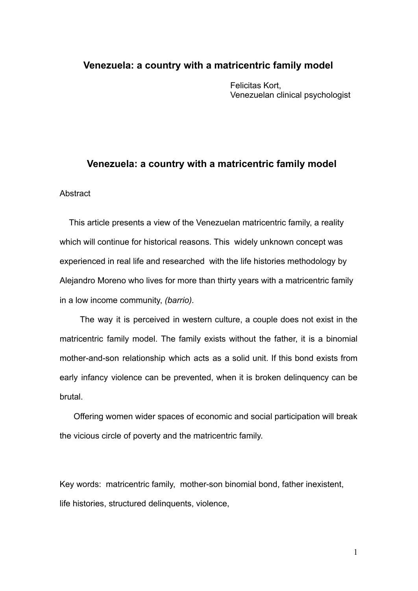## **Venezuela: a country with a matricentric family model**

Felicitas Kort, Venezuelan clinical psychologist

## **Venezuela: a country with a matricentric family model**

## **Abstract**

This article presents a view of the Venezuelan matricentric family, a reality which will continue for historical reasons. This widely unknown concept was experienced in real life and researched with the life histories methodology by Alejandro Moreno who lives for more than thirty years with a matricentric family in a low income community, *(barrio).*

The way it is perceived in western culture, a couple does not exist in the matricentric family model. The family exists without the father, it is a binomial mother-and-son relationship which acts as a solid unit. If this bond exists from early infancy violence can be prevented, when it is broken delinquency can be brutal.

Offering women wider spaces of economic and social participation will break the vicious circle of poverty and the matricentric family.

Key words: matricentric family, mother-son binomial bond, father inexistent, life histories, structured delinquents, violence,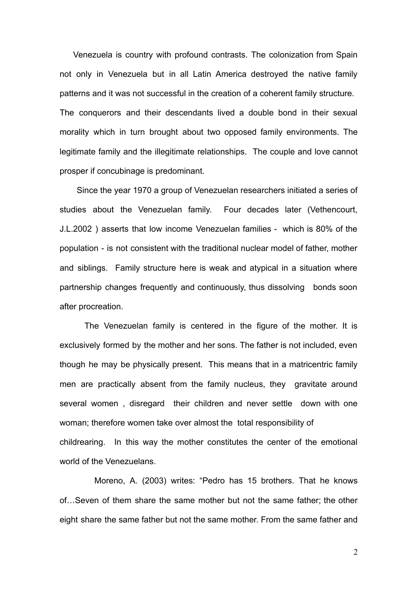Venezuela is country with profound contrasts. The colonization from Spain not only in Venezuela but in all Latin America destroyed the native family patterns and it was not successful in the creation of a coherent family structure. The conquerors and their descendants lived a double bond in their sexual morality which in turn brought about two opposed family environments. The legitimate family and the illegitimate relationships. The couple and love cannot prosper if concubinage is predominant.

Since the year 1970 a group of Venezuelan researchers initiated a series of studies about the Venezuelan family. Four decades later (Vethencourt, J.L.2002 ) asserts that low income Venezuelan families - which is 80% of the population - is not consistent with the traditional nuclear model of father, mother and siblings. Family structure here is weak and atypical in a situation where partnership changes frequently and continuously, thus dissolving bonds soon after procreation.

The Venezuelan family is centered in the figure of the mother. It is exclusively formed by the mother and her sons. The father is not included, even though he may be physically present. This means that in a matricentric family men are practically absent from the family nucleus, they gravitate around several women , disregard their children and never settle down with one woman; therefore women take over almost the total responsibility of childrearing. In this way the mother constitutes the center of the emotional world of the Venezuelans.

Moreno, A. (2003) writes: "Pedro has 15 brothers. That he knows of…Seven of them share the same mother but not the same father; the other eight share the same father but not the same mother. From the same father and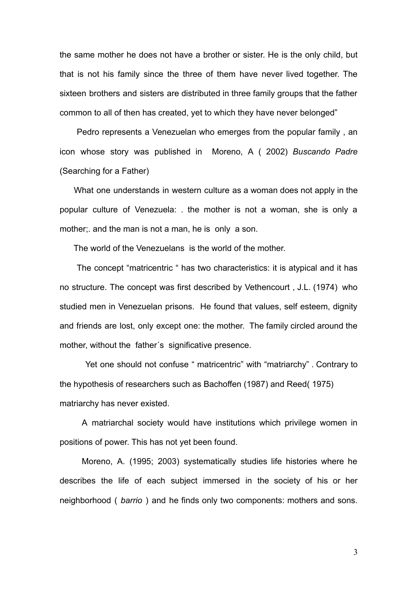the same mother he does not have a brother or sister. He is the only child, but that is not his family since the three of them have never lived together. The sixteen brothers and sisters are distributed in three family groups that the father common to all of then has created, yet to which they have never belonged"

Pedro represents a Venezuelan who emerges from the popular family , an icon whose story was published in Moreno, A ( 2002) *Buscando Padre* (Searching for a Father)

What one understands in western culture as a woman does not apply in the popular culture of Venezuela: . the mother is not a woman, she is only a mother;. and the man is not a man, he is only a son.

The world of the Venezuelans is the world of the mother.

The concept "matricentric " has two characteristics: it is atypical and it has no structure. The concept was first described by Vethencourt , J.L. (1974) who studied men in Venezuelan prisons. He found that values, self esteem, dignity and friends are lost, only except one: the mother. The family circled around the mother, without the father´s significative presence.

Yet one should not confuse " matricentric" with "matriarchy" . Contrary to the hypothesis of researchers such as Bachoffen (1987) and Reed( 1975) matriarchy has never existed.

A matriarchal society would have institutions which privilege women in positions of power. This has not yet been found.

Moreno, A. (1995; 2003) systematically studies life histories where he describes the life of each subject immersed in the society of his or her neighborhood ( *barrio* ) and he finds only two components: mothers and sons.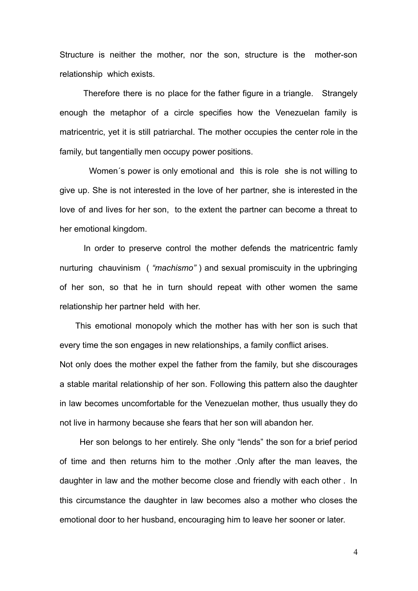Structure is neither the mother, nor the son, structure is the mother-son relationship which exists.

Therefore there is no place for the father figure in a triangle. Strangely enough the metaphor of a circle specifies how the Venezuelan family is matricentric, yet it is still patriarchal. The mother occupies the center role in the family, but tangentially men occupy power positions.

Women´s power is only emotional and this is role she is not willing to give up. She is not interested in the love of her partner, she is interested in the love of and lives for her son, to the extent the partner can become a threat to her emotional kingdom.

In order to preserve control the mother defends the matricentric famly nurturing chauvinism ( *"machismo"* ) and sexual promiscuity in the upbringing of her son, so that he in turn should repeat with other women the same relationship her partner held with her.

This emotional monopoly which the mother has with her son is such that every time the son engages in new relationships, a family conflict arises.

Not only does the mother expel the father from the family, but she discourages a stable marital relationship of her son. Following this pattern also the daughter in law becomes uncomfortable for the Venezuelan mother, thus usually they do not live in harmony because she fears that her son will abandon her.

Her son belongs to her entirely. She only "lends" the son for a brief period of time and then returns him to the mother .Only after the man leaves, the daughter in law and the mother become close and friendly with each other . In this circumstance the daughter in law becomes also a mother who closes the emotional door to her husband, encouraging him to leave her sooner or later.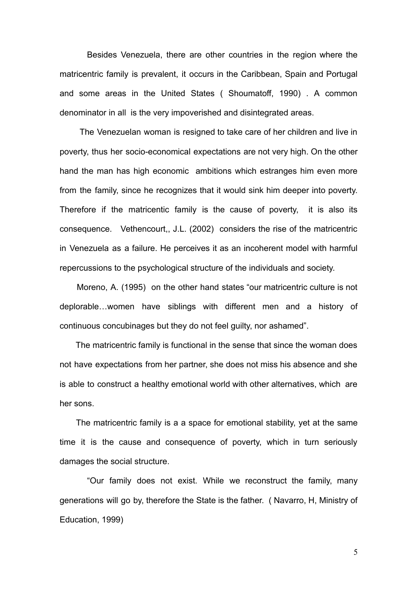Besides Venezuela, there are other countries in the region where the matricentric family is prevalent, it occurs in the Caribbean, Spain and Portugal and some areas in the United States ( Shoumatoff, 1990) . A common denominator in all is the very impoverished and disintegrated areas.

The Venezuelan woman is resigned to take care of her children and live in poverty, thus her socio-economical expectations are not very high. On the other hand the man has high economic ambitions which estranges him even more from the family, since he recognizes that it would sink him deeper into poverty. Therefore if the matricentic family is the cause of poverty, it is also its consequence. Vethencourt,, J.L. (2002) considers the rise of the matricentric in Venezuela as a failure. He perceives it as an incoherent model with harmful repercussions to the psychological structure of the individuals and society.

Moreno, A. (1995) on the other hand states "our matricentric culture is not deplorable…women have siblings with different men and a history of continuous concubinages but they do not feel guilty, nor ashamed".

The matricentric family is functional in the sense that since the woman does not have expectations from her partner, she does not miss his absence and she is able to construct a healthy emotional world with other alternatives, which are her sons.

The matricentric family is a a space for emotional stability, yet at the same time it is the cause and consequence of poverty, which in turn seriously damages the social structure.

"Our family does not exist. While we reconstruct the family, many generations will go by, therefore the State is the father. ( Navarro, H, Ministry of Education, 1999)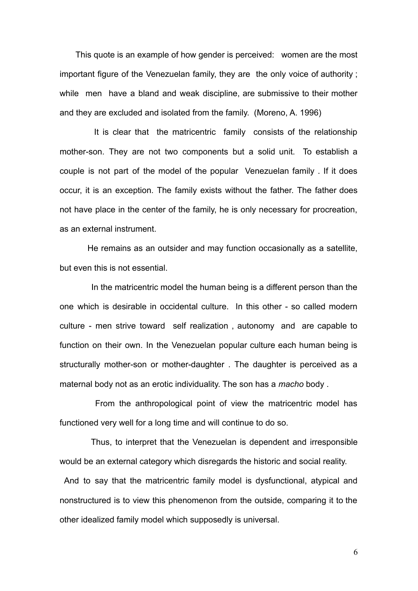This quote is an example of how gender is perceived: women are the most important figure of the Venezuelan family, they are the only voice of authority ; while men have a bland and weak discipline, are submissive to their mother and they are excluded and isolated from the family. (Moreno, A. 1996)

It is clear that the matricentric family consists of the relationship mother-son. They are not two components but a solid unit. To establish a couple is not part of the model of the popular Venezuelan family . If it does occur, it is an exception. The family exists without the father. The father does not have place in the center of the family, he is only necessary for procreation, as an external instrument.

He remains as an outsider and may function occasionally as a satellite, but even this is not essential.

In the matricentric model the human being is a different person than the one which is desirable in occidental culture. In this other - so called modern culture - men strive toward self realization , autonomy and are capable to function on their own. In the Venezuelan popular culture each human being is structurally mother-son or mother-daughter . The daughter is perceived as a maternal body not as an erotic individuality. The son has a *macho* body .

From the anthropological point of view the matricentric model has functioned very well for a long time and will continue to do so.

Thus, to interpret that the Venezuelan is dependent and irresponsible would be an external category which disregards the historic and social reality.

And to say that the matricentric family model is dysfunctional, atypical and nonstructured is to view this phenomenon from the outside, comparing it to the other idealized family model which supposedly is universal.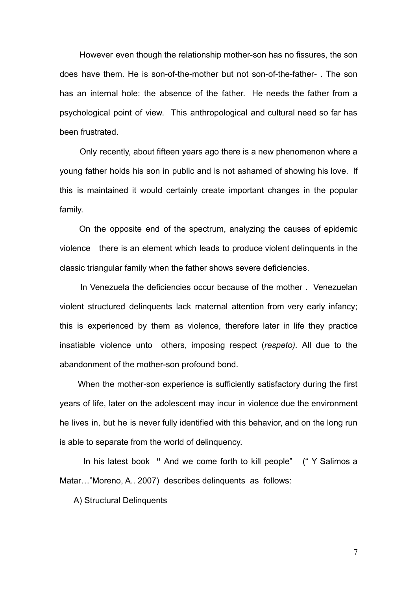However even though the relationship mother-son has no fissures, the son does have them. He is son-of-the-mother but not son-of-the-father- . The son has an internal hole: the absence of the father. He needs the father from a psychological point of view. This anthropological and cultural need so far has been frustrated.

Only recently, about fifteen years ago there is a new phenomenon where a young father holds his son in public and is not ashamed of showing his love. If this is maintained it would certainly create important changes in the popular family.

On the opposite end of the spectrum, analyzing the causes of epidemic violence there is an element which leads to produce violent delinquents in the classic triangular family when the father shows severe deficiencies.

In Venezuela the deficiencies occur because of the mother . Venezuelan violent structured delinquents lack maternal attention from very early infancy; this is experienced by them as violence, therefore later in life they practice insatiable violence unto others, imposing respect (*respeto).* All due to the abandonment of the mother-son profound bond.

When the mother-son experience is sufficiently satisfactory during the first years of life, later on the adolescent may incur in violence due the environment he lives in, but he is never fully identified with this behavior, and on the long run is able to separate from the world of delinquency.

In his latest book **"** And we come forth to kill people" (" Y Salimos a Matar…"Moreno, A.. 2007) describes delinquents as follows:

A) Structural Delinquents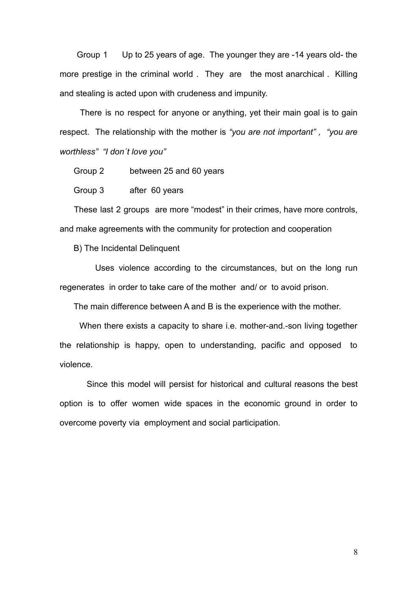Group 1 Up to 25 years of age. The younger they are -14 years old- the more prestige in the criminal world . They are the most anarchical . Killing and stealing is acted upon with crudeness and impunity.

There is no respect for anyone or anything, yet their main goal is to gain respect. The relationship with the mother is *"you are not important" , "you are worthless" "I don´t love you"*

Group 2 between 25 and 60 years

Group 3 after 60 years

These last 2 groups are more "modest" in their crimes, have more controls, and make agreements with the community for protection and cooperation

B) The Incidental Delinquent

Uses violence according to the circumstances, but on the long run regenerates in order to take care of the mother and/ or to avoid prison.

The main difference between A and B is the experience with the mother.

When there exists a capacity to share i.e. mother-and.-son living together the relationship is happy, open to understanding, pacific and opposed to violence.

Since this model will persist for historical and cultural reasons the best option is to offer women wide spaces in the economic ground in order to overcome poverty via employment and social participation.